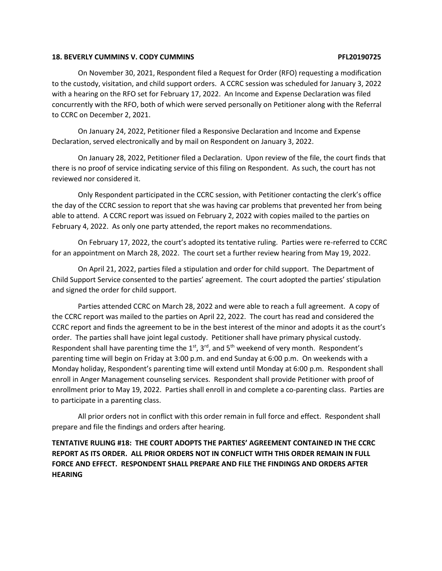### **18. BEVERLY CUMMINS V. CODY CUMMINS PFL20190725**

On November 30, 2021, Respondent filed a Request for Order (RFO) requesting a modification to the custody, visitation, and child support orders. A CCRC session was scheduled for January 3, 2022 with a hearing on the RFO set for February 17, 2022. An Income and Expense Declaration was filed concurrently with the RFO, both of which were served personally on Petitioner along with the Referral to CCRC on December 2, 2021.

On January 24, 2022, Petitioner filed a Responsive Declaration and Income and Expense Declaration, served electronically and by mail on Respondent on January 3, 2022.

On January 28, 2022, Petitioner filed a Declaration. Upon review of the file, the court finds that there is no proof of service indicating service of this filing on Respondent. As such, the court has not reviewed nor considered it.

Only Respondent participated in the CCRC session, with Petitioner contacting the clerk's office the day of the CCRC session to report that she was having car problems that prevented her from being able to attend. A CCRC report was issued on February 2, 2022 with copies mailed to the parties on February 4, 2022. As only one party attended, the report makes no recommendations.

On February 17, 2022, the court's adopted its tentative ruling. Parties were re-referred to CCRC for an appointment on March 28, 2022. The court set a further review hearing from May 19, 2022.

On April 21, 2022, parties filed a stipulation and order for child support. The Department of Child Support Service consented to the parties' agreement. The court adopted the parties' stipulation and signed the order for child support.

Parties attended CCRC on March 28, 2022 and were able to reach a full agreement. A copy of the CCRC report was mailed to the parties on April 22, 2022. The court has read and considered the CCRC report and finds the agreement to be in the best interest of the minor and adopts it as the court's order. The parties shall have joint legal custody. Petitioner shall have primary physical custody. Respondent shall have parenting time the  $1<sup>st</sup>$ ,  $3<sup>rd</sup>$ , and  $5<sup>th</sup>$  weekend of very month. Respondent's parenting time will begin on Friday at 3:00 p.m. and end Sunday at 6:00 p.m. On weekends with a Monday holiday, Respondent's parenting time will extend until Monday at 6:00 p.m. Respondent shall enroll in Anger Management counseling services. Respondent shall provide Petitioner with proof of enrollment prior to May 19, 2022. Parties shall enroll in and complete a co-parenting class. Parties are to participate in a parenting class.

All prior orders not in conflict with this order remain in full force and effect. Respondent shall prepare and file the findings and orders after hearing.

**TENTATIVE RULING #18: THE COURT ADOPTS THE PARTIES' AGREEMENT CONTAINED IN THE CCRC REPORT AS ITS ORDER. ALL PRIOR ORDERS NOT IN CONFLICT WITH THIS ORDER REMAIN IN FULL FORCE AND EFFECT. RESPONDENT SHALL PREPARE AND FILE THE FINDINGS AND ORDERS AFTER HEARING**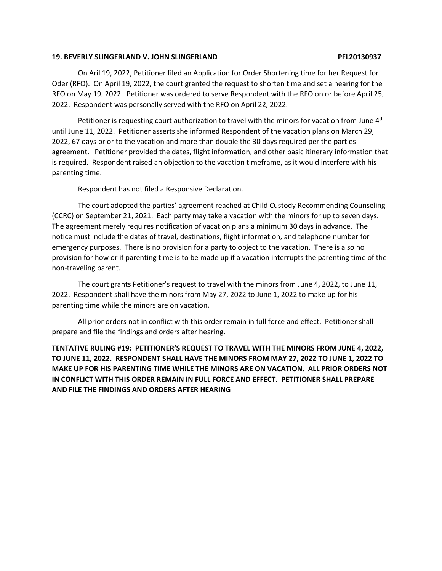### **19. BEVERLY SLINGERLAND V. JOHN SLINGERLAND PFL20130937**

On Aril 19, 2022, Petitioner filed an Application for Order Shortening time for her Request for Oder (RFO). On April 19, 2022, the court granted the request to shorten time and set a hearing for the RFO on May 19, 2022. Petitioner was ordered to serve Respondent with the RFO on or before April 25, 2022. Respondent was personally served with the RFO on April 22, 2022.

Petitioner is requesting court authorization to travel with the minors for vacation from June  $4<sup>th</sup>$ until June 11, 2022. Petitioner asserts she informed Respondent of the vacation plans on March 29, 2022, 67 days prior to the vacation and more than double the 30 days required per the parties agreement. Petitioner provided the dates, flight information, and other basic itinerary information that is required. Respondent raised an objection to the vacation timeframe, as it would interfere with his parenting time.

Respondent has not filed a Responsive Declaration.

The court adopted the parties' agreement reached at Child Custody Recommending Counseling (CCRC) on September 21, 2021. Each party may take a vacation with the minors for up to seven days. The agreement merely requires notification of vacation plans a minimum 30 days in advance. The notice must include the dates of travel, destinations, flight information, and telephone number for emergency purposes. There is no provision for a party to object to the vacation. There is also no provision for how or if parenting time is to be made up if a vacation interrupts the parenting time of the non-traveling parent.

The court grants Petitioner's request to travel with the minors from June 4, 2022, to June 11, 2022. Respondent shall have the minors from May 27, 2022 to June 1, 2022 to make up for his parenting time while the minors are on vacation.

All prior orders not in conflict with this order remain in full force and effect. Petitioner shall prepare and file the findings and orders after hearing.

**TENTATIVE RULING #19: PETITIONER'S REQUEST TO TRAVEL WITH THE MINORS FROM JUNE 4, 2022, TO JUNE 11, 2022. RESPONDENT SHALL HAVE THE MINORS FROM MAY 27, 2022 TO JUNE 1, 2022 TO MAKE UP FOR HIS PARENTING TIME WHILE THE MINORS ARE ON VACATION. ALL PRIOR ORDERS NOT IN CONFLICT WITH THIS ORDER REMAIN IN FULL FORCE AND EFFECT. PETITIONER SHALL PREPARE AND FILE THE FINDINGS AND ORDERS AFTER HEARING**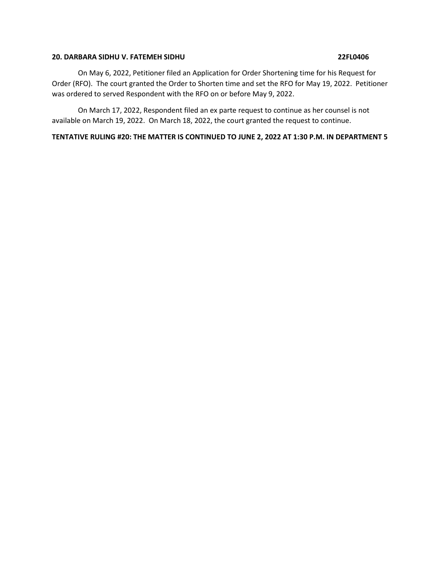## **20. DARBARA SIDHU V. FATEMEH SIDHU 22FL0406**

On May 6, 2022, Petitioner filed an Application for Order Shortening time for his Request for Order (RFO). The court granted the Order to Shorten time and set the RFO for May 19, 2022. Petitioner was ordered to served Respondent with the RFO on or before May 9, 2022.

On March 17, 2022, Respondent filed an ex parte request to continue as her counsel is not available on March 19, 2022. On March 18, 2022, the court granted the request to continue.

# **TENTATIVE RULING #20: THE MATTER IS CONTINUED TO JUNE 2, 2022 AT 1:30 P.M. IN DEPARTMENT 5**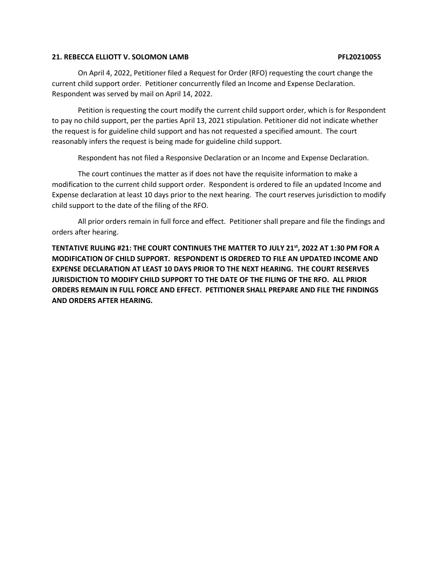## **21. REBECCA ELLIOTT V. SOLOMON LAMB PFL20210055**

On April 4, 2022, Petitioner filed a Request for Order (RFO) requesting the court change the current child support order. Petitioner concurrently filed an Income and Expense Declaration. Respondent was served by mail on April 14, 2022.

Petition is requesting the court modify the current child support order, which is for Respondent to pay no child support, per the parties April 13, 2021 stipulation. Petitioner did not indicate whether the request is for guideline child support and has not requested a specified amount. The court reasonably infers the request is being made for guideline child support.

Respondent has not filed a Responsive Declaration or an Income and Expense Declaration.

The court continues the matter as if does not have the requisite information to make a modification to the current child support order. Respondent is ordered to file an updated Income and Expense declaration at least 10 days prior to the next hearing. The court reserves jurisdiction to modify child support to the date of the filing of the RFO.

All prior orders remain in full force and effect. Petitioner shall prepare and file the findings and orders after hearing.

**TENTATIVE RULING #21: THE COURT CONTINUES THE MATTER TO JULY 21st, 2022 AT 1:30 PM FOR A MODIFICATION OF CHILD SUPPORT. RESPONDENT IS ORDERED TO FILE AN UPDATED INCOME AND EXPENSE DECLARATION AT LEAST 10 DAYS PRIOR TO THE NEXT HEARING. THE COURT RESERVES JURISDICTION TO MODIFY CHILD SUPPORT TO THE DATE OF THE FILING OF THE RFO. ALL PRIOR ORDERS REMAIN IN FULL FORCE AND EFFECT. PETITIONER SHALL PREPARE AND FILE THE FINDINGS AND ORDERS AFTER HEARING.**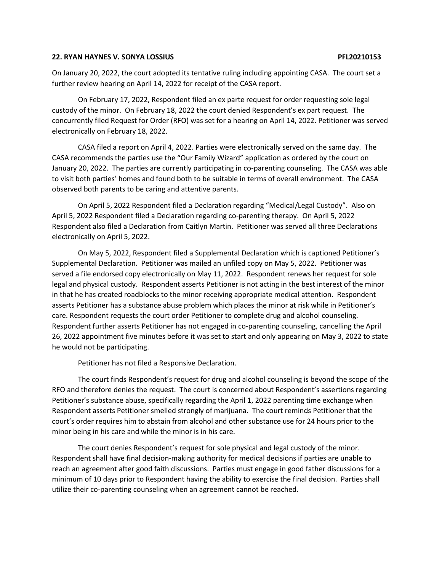## **22. RYAN HAYNES V. SONYA LOSSIUS PFL20210153**

On January 20, 2022, the court adopted its tentative ruling including appointing CASA. The court set a further review hearing on April 14, 2022 for receipt of the CASA report.

On February 17, 2022, Respondent filed an ex parte request for order requesting sole legal custody of the minor. On February 18, 2022 the court denied Respondent's ex part request. The concurrently filed Request for Order (RFO) was set for a hearing on April 14, 2022. Petitioner was served electronically on February 18, 2022.

CASA filed a report on April 4, 2022. Parties were electronically served on the same day. The CASA recommends the parties use the "Our Family Wizard" application as ordered by the court on January 20, 2022. The parties are currently participating in co-parenting counseling. The CASA was able to visit both parties' homes and found both to be suitable in terms of overall environment. The CASA observed both parents to be caring and attentive parents.

On April 5, 2022 Respondent filed a Declaration regarding "Medical/Legal Custody". Also on April 5, 2022 Respondent filed a Declaration regarding co-parenting therapy. On April 5, 2022 Respondent also filed a Declaration from Caitlyn Martin. Petitioner was served all three Declarations electronically on April 5, 2022.

On May 5, 2022, Respondent filed a Supplemental Declaration which is captioned Petitioner's Supplemental Declaration. Petitioner was mailed an unfiled copy on May 5, 2022. Petitioner was served a file endorsed copy electronically on May 11, 2022. Respondent renews her request for sole legal and physical custody. Respondent asserts Petitioner is not acting in the best interest of the minor in that he has created roadblocks to the minor receiving appropriate medical attention. Respondent asserts Petitioner has a substance abuse problem which places the minor at risk while in Petitioner's care. Respondent requests the court order Petitioner to complete drug and alcohol counseling. Respondent further asserts Petitioner has not engaged in co-parenting counseling, cancelling the April 26, 2022 appointment five minutes before it was set to start and only appearing on May 3, 2022 to state he would not be participating.

Petitioner has not filed a Responsive Declaration.

The court finds Respondent's request for drug and alcohol counseling is beyond the scope of the RFO and therefore denies the request. The court is concerned about Respondent's assertions regarding Petitioner's substance abuse, specifically regarding the April 1, 2022 parenting time exchange when Respondent asserts Petitioner smelled strongly of marijuana. The court reminds Petitioner that the court's order requires him to abstain from alcohol and other substance use for 24 hours prior to the minor being in his care and while the minor is in his care.

The court denies Respondent's request for sole physical and legal custody of the minor. Respondent shall have final decision-making authority for medical decisions if parties are unable to reach an agreement after good faith discussions. Parties must engage in good father discussions for a minimum of 10 days prior to Respondent having the ability to exercise the final decision. Parties shall utilize their co-parenting counseling when an agreement cannot be reached.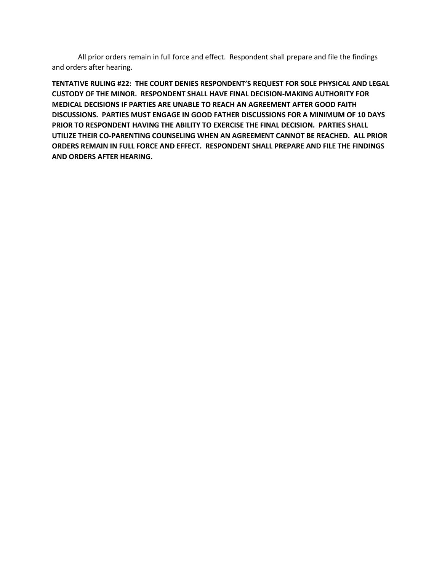All prior orders remain in full force and effect. Respondent shall prepare and file the findings and orders after hearing.

**TENTATIVE RULING #22: THE COURT DENIES RESPONDENT'S REQUEST FOR SOLE PHYSICAL AND LEGAL CUSTODY OF THE MINOR. RESPONDENT SHALL HAVE FINAL DECISION-MAKING AUTHORITY FOR MEDICAL DECISIONS IF PARTIES ARE UNABLE TO REACH AN AGREEMENT AFTER GOOD FAITH DISCUSSIONS. PARTIES MUST ENGAGE IN GOOD FATHER DISCUSSIONS FOR A MINIMUM OF 10 DAYS PRIOR TO RESPONDENT HAVING THE ABILITY TO EXERCISE THE FINAL DECISION. PARTIES SHALL UTILIZE THEIR CO-PARENTING COUNSELING WHEN AN AGREEMENT CANNOT BE REACHED. ALL PRIOR ORDERS REMAIN IN FULL FORCE AND EFFECT. RESPONDENT SHALL PREPARE AND FILE THE FINDINGS AND ORDERS AFTER HEARING.**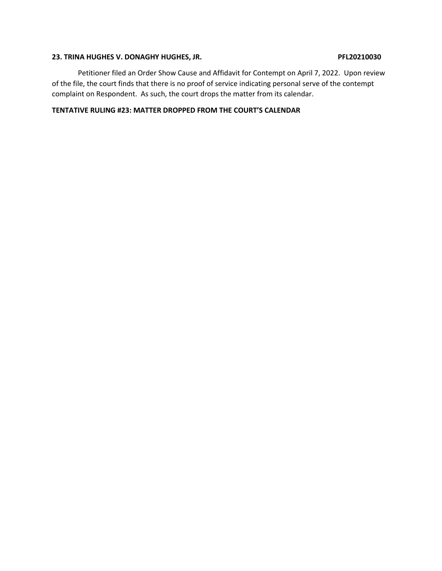# 23. TRINA HUGHES V. DONAGHY HUGHES, JR. PEL20210030

Petitioner filed an Order Show Cause and Affidavit for Contempt on April 7, 2022. Upon review of the file, the court finds that there is no proof of service indicating personal serve of the contempt complaint on Respondent. As such, the court drops the matter from its calendar.

# **TENTATIVE RULING #23: MATTER DROPPED FROM THE COURT'S CALENDAR**